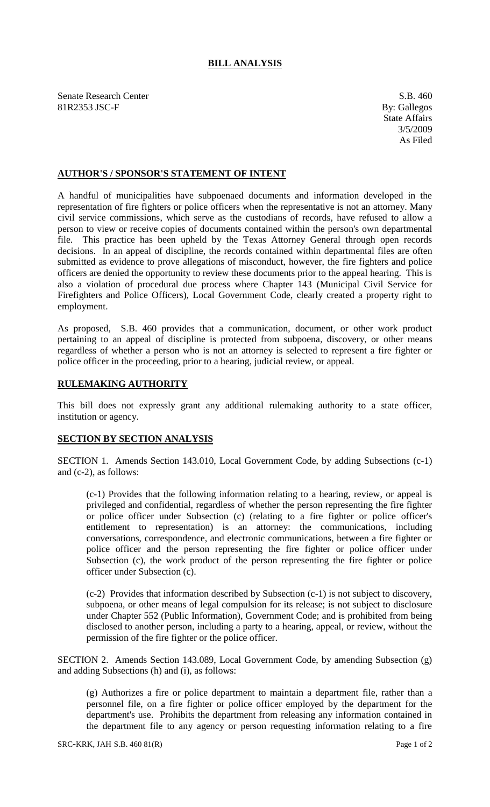## **BILL ANALYSIS**

Senate Research Center S.B. 460<br>
81R2353 JSC-F By: Gallegos 81R2353 JSC-F

## **AUTHOR'S / SPONSOR'S STATEMENT OF INTENT**

A handful of municipalities have subpoenaed documents and information developed in the representation of fire fighters or police officers when the representative is not an attorney. Many civil service commissions, which serve as the custodians of records, have refused to allow a person to view or receive copies of documents contained within the person's own departmental file. This practice has been upheld by the Texas Attorney General through open records decisions. In an appeal of discipline, the records contained within departmental files are often submitted as evidence to prove allegations of misconduct, however, the fire fighters and police officers are denied the opportunity to review these documents prior to the appeal hearing. This is also a violation of procedural due process where Chapter 143 (Municipal Civil Service for Firefighters and Police Officers), Local Government Code, clearly created a property right to employment.

As proposed, S.B. 460 provides that a communication, document, or other work product pertaining to an appeal of discipline is protected from subpoena, discovery, or other means regardless of whether a person who is not an attorney is selected to represent a fire fighter or police officer in the proceeding, prior to a hearing, judicial review, or appeal.

## **RULEMAKING AUTHORITY**

This bill does not expressly grant any additional rulemaking authority to a state officer, institution or agency.

## **SECTION BY SECTION ANALYSIS**

SECTION 1. Amends Section 143.010, Local Government Code, by adding Subsections (c-1) and (c-2), as follows:

(c-1) Provides that the following information relating to a hearing, review, or appeal is privileged and confidential, regardless of whether the person representing the fire fighter or police officer under Subsection (c) (relating to a fire fighter or police officer's entitlement to representation) is an attorney: the communications, including conversations, correspondence, and electronic communications, between a fire fighter or police officer and the person representing the fire fighter or police officer under Subsection (c), the work product of the person representing the fire fighter or police officer under Subsection (c).

(c-2) Provides that information described by Subsection (c-1) is not subject to discovery, subpoena, or other means of legal compulsion for its release; is not subject to disclosure under Chapter 552 (Public Information), Government Code; and is prohibited from being disclosed to another person, including a party to a hearing, appeal, or review, without the permission of the fire fighter or the police officer.

SECTION 2. Amends Section 143.089, Local Government Code, by amending Subsection (g) and adding Subsections (h) and (i), as follows:

(g) Authorizes a fire or police department to maintain a department file, rather than a personnel file, on a fire fighter or police officer employed by the department for the department's use. Prohibits the department from releasing any information contained in the department file to any agency or person requesting information relating to a fire